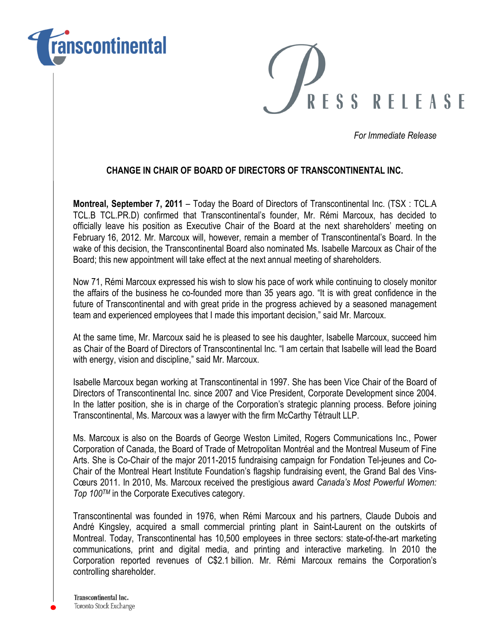



For Immediate Release

## CHANGE IN CHAIR OF BOARD OF DIRECTORS OF TRANSCONTINENTAL INC.

Montreal, September 7, 2011 – Today the Board of Directors of Transcontinental Inc. (TSX : TCL.A TCL.B TCL.PR.D) confirmed that Transcontinental's founder, Mr. Rémi Marcoux, has decided to officially leave his position as Executive Chair of the Board at the next shareholders' meeting on February 16, 2012. Mr. Marcoux will, however, remain a member of Transcontinental's Board. In the wake of this decision, the Transcontinental Board also nominated Ms. Isabelle Marcoux as Chair of the Board; this new appointment will take effect at the next annual meeting of shareholders.

Now 71, Rémi Marcoux expressed his wish to slow his pace of work while continuing to closely monitor the affairs of the business he co-founded more than 35 years ago. "It is with great confidence in the future of Transcontinental and with great pride in the progress achieved by a seasoned management team and experienced employees that I made this important decision," said Mr. Marcoux.

At the same time, Mr. Marcoux said he is pleased to see his daughter, Isabelle Marcoux, succeed him as Chair of the Board of Directors of Transcontinental Inc. "I am certain that Isabelle will lead the Board with energy, vision and discipline," said Mr. Marcoux.

Isabelle Marcoux began working at Transcontinental in 1997. She has been Vice Chair of the Board of Directors of Transcontinental Inc. since 2007 and Vice President, Corporate Development since 2004. In the latter position, she is in charge of the Corporation's strategic planning process. Before joining Transcontinental, Ms. Marcoux was a lawyer with the firm McCarthy Tétrault LLP.

Ms. Marcoux is also on the Boards of George Weston Limited, Rogers Communications Inc., Power Corporation of Canada, the Board of Trade of Metropolitan Montréal and the Montreal Museum of Fine Arts. She is Co-Chair of the major 2011-2015 fundraising campaign for Fondation Tel-jeunes and Co-Chair of the Montreal Heart Institute Foundation's flagship fundraising event, the Grand Bal des Vins-Cœurs 2011. In 2010, Ms. Marcoux received the prestigious award Canada's Most Powerful Women: Top 100TM in the Corporate Executives category.

Transcontinental was founded in 1976, when Rémi Marcoux and his partners, Claude Dubois and André Kingsley, acquired a small commercial printing plant in Saint-Laurent on the outskirts of Montreal. Today, Transcontinental has 10,500 employees in three sectors: state-of-the-art marketing communications, print and digital media, and printing and interactive marketing. In 2010 the Corporation reported revenues of C\$2.1 billion. Mr. Rémi Marcoux remains the Corporation's controlling shareholder.